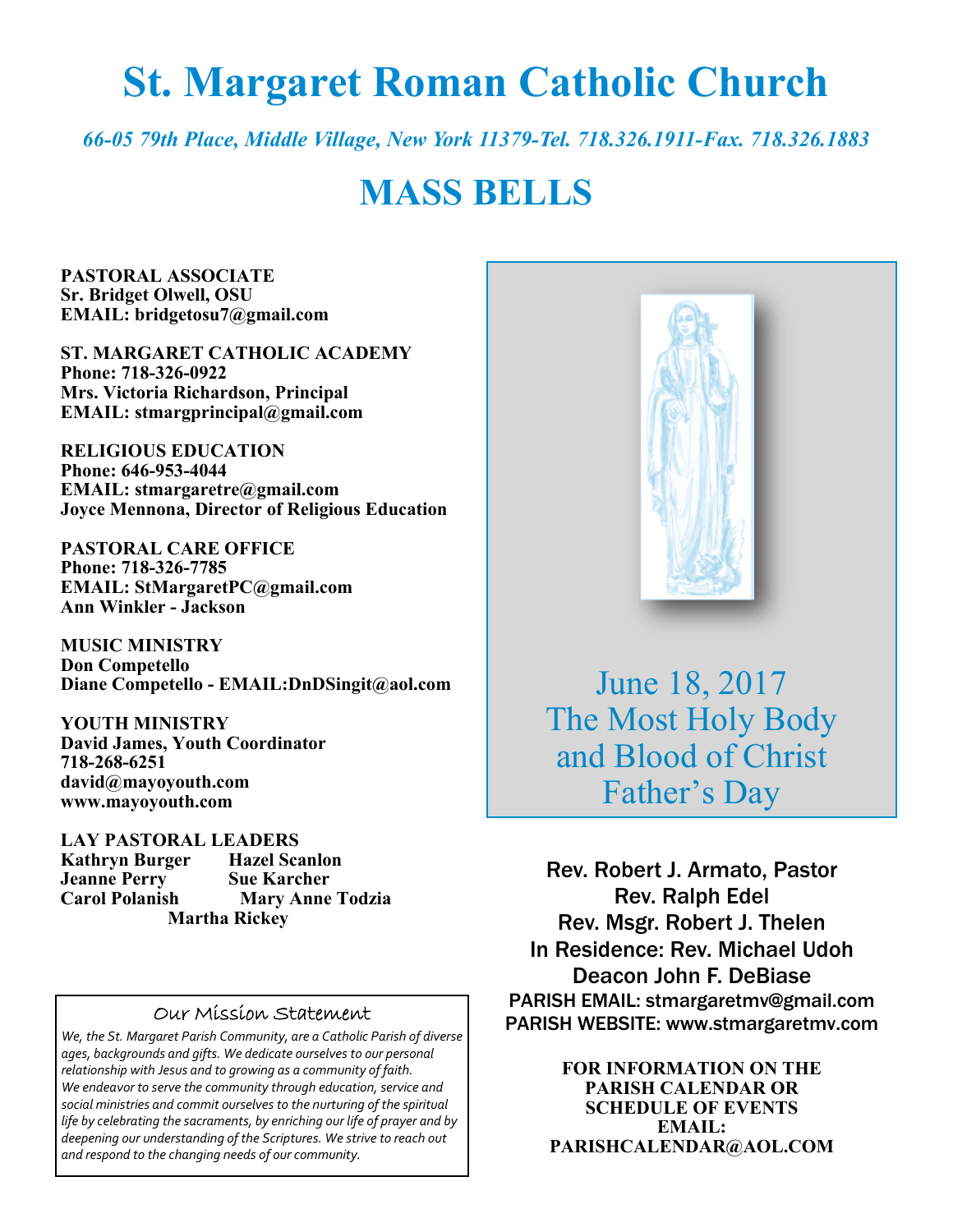# **St. Margaret Roman Catholic Church**

*66-05 79th Place, Middle Village, New York 11379-Tel. 718.326.1911-Fax. 718.326.1883* 

# **MASS BELLS**

**PASTORAL ASSOCIATE Sr. Bridget Olwell, OSU EMAIL: bridgetosu7@gmail.com** 

**ST. MARGARET CATHOLIC ACADEMY Phone: 718-326-0922 Mrs. Victoria Richardson, Principal EMAIL: stmargprincipal@gmail.com** 

**RELIGIOUS EDUCATION Phone: 646-953-4044 EMAIL: stmargaretre@gmail.com Joyce Mennona, Director of Religious Education** 

**PASTORAL CARE OFFICE Phone: 718-326-7785 EMAIL: StMargaretPC@gmail.com Ann Winkler - Jackson** 

**MUSIC MINISTRY Don Competello Diane Competello - EMAIL:DnDSingit@aol.com** 

**YOUTH MINISTRY David James, Youth Coordinator 718-268-6251 david@mayoyouth.com www.mayoyouth.com** 

**LAY PASTORAL LEADERS Kathryn Burger Hazel Scanlon Jeanne Perry Sue Karcher Mary Anne Todzia Martha Rickey** 

#### Our Mission Statement

*We, the St. Margaret Parish Community, are a Catholic Parish of diverse ages, backgrounds and gifts. We dedicate ourselves to our personal relationship with Jesus and to growing as a community of faith. We endeavor to serve the community through education, service and social ministries and commit ourselves to the nurturing of the spiritual life by celebrating the sacraments, by enriching our life of prayer and by deepening our understanding of the Scriptures. We strive to reach out and respond to the changing needs of our community.*



June 18, 2017 The Most Holy Body and Blood of Christ Father's Day

Rev. Robert J. Armato, Pastor Rev. Ralph Edel Rev. Msgr. Robert J. Thelen In Residence: Rev. Michael Udoh Deacon John F. DeBiase PARISH EMAIL: stmargaretmv@gmail.com PARISH WEBSITE: www.stmargaretmv.com

> **FOR INFORMATION ON THE PARISH CALENDAR OR SCHEDULE OF EVENTS EMAIL: PARISHCALENDAR@AOL.COM**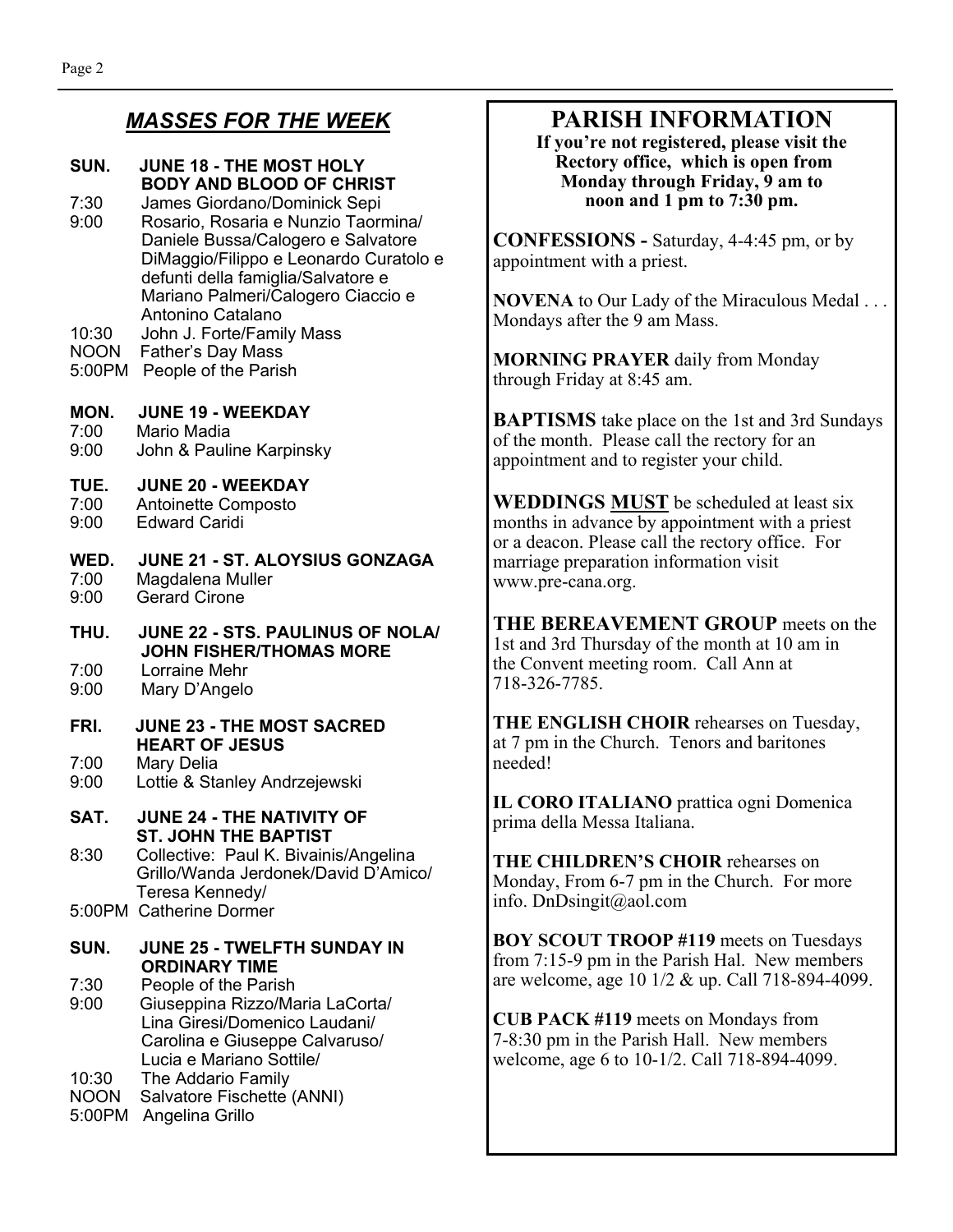### *MASSES FOR THE WEEK*

#### **SUN. JUNE 18 - THE MOST HOLY BODY AND BLOOD OF CHRIST**

- 7:30 James Giordano/Dominick Sepi 9:00 Rosario, Rosaria e Nunzio Taormina/ Daniele Bussa/Calogero e Salvatore DiMaggio/Filippo e Leonardo Curatolo e defunti della famiglia/Salvatore e Mariano Palmeri/Calogero Ciaccio e Antonino Catalano
- 10:30 John J. Forte/Family Mass
- NOON Father's Day Mass
- 5:00PM People of the Parish

#### **MON. JUNE 19 - WEEKDAY**

7:00 Mario Madia 9:00 John & Pauline Karpinsky

- **TUE. JUNE 20 WEEKDAY**  7:00 Antoinette Composto<br>9:00 Fdward Caridi
- 9:00 Edward Caridi

#### **WED. JUNE 21 - ST. ALOYSIUS GONZAGA**  7:00 Magdalena Muller 9:00 Gerard Cirone

**THU. JUNE 22 - STS. PAULINUS OF NOLA/ JOHN FISHER/THOMAS MORE** 

- 7:00 Lorraine Mehr
- 9:00 Mary D'Angelo
- **FRI. JUNE 23 THE MOST SACRED HEART OF JESUS**<br>7:00 Mary Delia
- 7:00 Mary Delia Lottie & Stanley Andrzejewski
- **SAT. JUNE 24 THE NATIVITY OF ST. JOHN THE BAPTIST**

8:30 Collective: Paul K. Bivainis/Angelina Grillo/Wanda Jerdonek/David D'Amico/ Teresa Kennedy/ 5:00PM Catherine Dormer

#### **SUN. JUNE 25 - TWELFTH SUNDAY IN ORDINARY TIME**

7:30 People of the Parish

9:00 Giuseppina Rizzo/Maria LaCorta/ Lina Giresi/Domenico Laudani/ Carolina e Giuseppe Calvaruso/ Lucia e Mariano Sottile/<br>10:30 The Addario Family

The Addario Family

- NOON Salvatore Fischette (ANNI)
- 5:00PM Angelina Grillo

# **PARISH INFORMATION**

**If you're not registered, please visit the Rectory office, which is open from Monday through Friday, 9 am to noon and 1 pm to 7:30 pm.** 

**CONFESSIONS -** Saturday, 4-4:45 pm, or by appointment with a priest.

**NOVENA** to Our Lady of the Miraculous Medal . . . Mondays after the 9 am Mass.

**MORNING PRAYER** daily from Monday through Friday at 8:45 am.

**BAPTISMS** take place on the 1st and 3rd Sundays of the month. Please call the rectory for an appointment and to register your child.

**WEDDINGS MUST** be scheduled at least six months in advance by appointment with a priest or a deacon. Please call the rectory office. For marriage preparation information visit www.pre-cana.org.

**THE BEREAVEMENT GROUP** meets on the 1st and 3rd Thursday of the month at 10 am in the Convent meeting room. Call Ann at 718-326-7785.

**THE ENGLISH CHOIR** rehearses on Tuesday, at 7 pm in the Church. Tenors and baritones needed!

**IL CORO ITALIANO** prattica ogni Domenica prima della Messa Italiana.

**THE CHILDREN'S CHOIR** rehearses on Monday, From 6-7 pm in the Church. For more info. DnDsingit@aol.com

**BOY SCOUT TROOP #119** meets on Tuesdays from 7:15-9 pm in the Parish Hal. New members are welcome, age 10 1/2 & up. Call 718-894-4099.

**CUB PACK #119** meets on Mondays from 7-8:30 pm in the Parish Hall. New members welcome, age 6 to 10-1/2. Call 718-894-4099.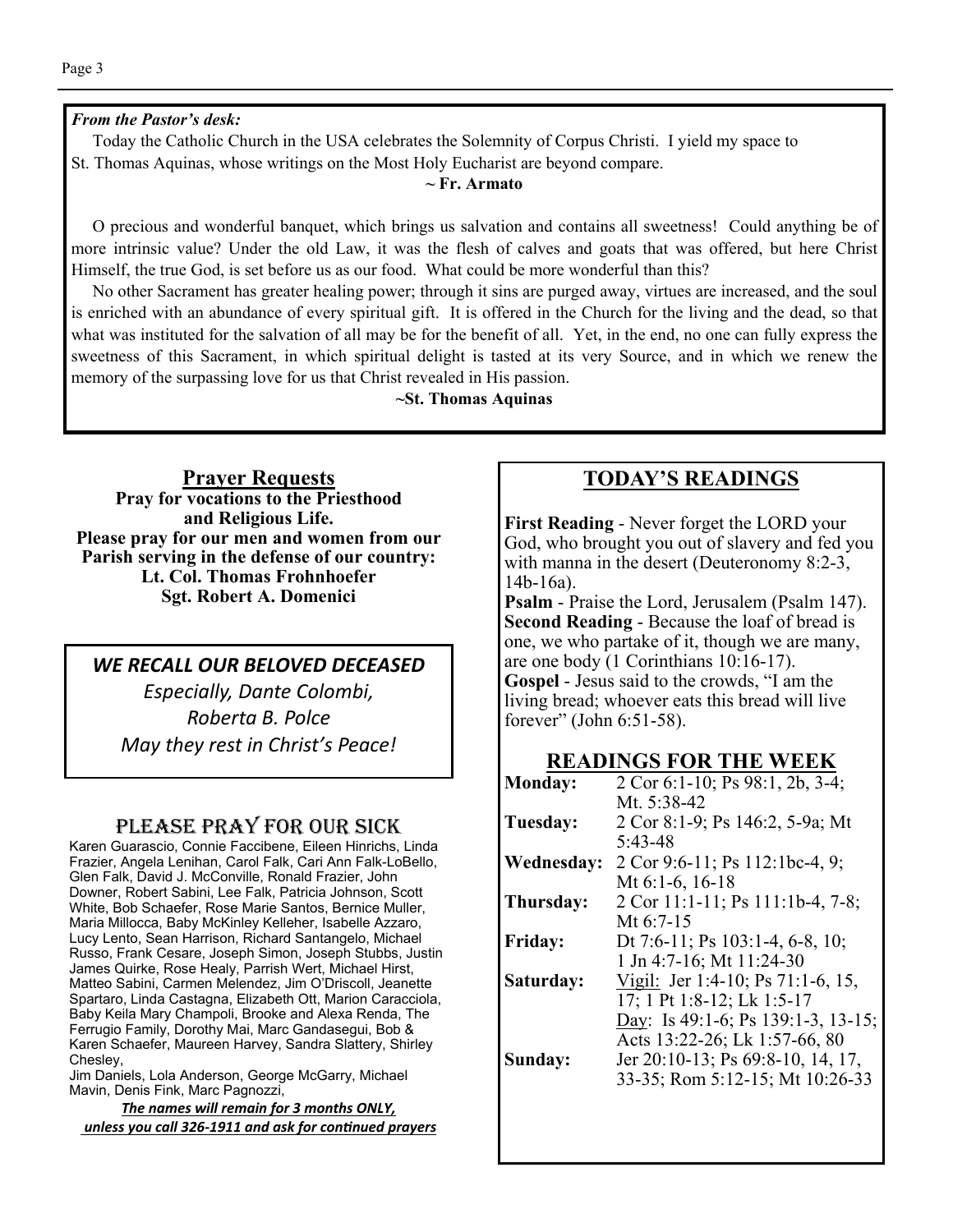#### *From the Pastor's desk:*

 Today the Catholic Church in the USA celebrates the Solemnity of Corpus Christi. I yield my space to St. Thomas Aquinas, whose writings on the Most Holy Eucharist are beyond compare.

#### **~ Fr. Armato**

 O precious and wonderful banquet, which brings us salvation and contains all sweetness! Could anything be of more intrinsic value? Under the old Law, it was the flesh of calves and goats that was offered, but here Christ Himself, the true God, is set before us as our food. What could be more wonderful than this?

 No other Sacrament has greater healing power; through it sins are purged away, virtues are increased, and the soul is enriched with an abundance of every spiritual gift. It is offered in the Church for the living and the dead, so that what was instituted for the salvation of all may be for the benefit of all. Yet, in the end, no one can fully express the sweetness of this Sacrament, in which spiritual delight is tasted at its very Source, and in which we renew the memory of the surpassing love for us that Christ revealed in His passion.

**~St. Thomas Aquinas** 

**Prayer Requests Pray for vocations to the Priesthood and Religious Life. Please pray for our men and women from our Parish serving in the defense of our country: Lt. Col. Thomas Frohnhoefer Sgt. Robert A. Domenici** 

#### *WE RECALL OUR BELOVED DECEASED*

*Especially, Dante Colombi, Roberta B. Polce May they rest in Christ's Peace!* 

#### PLEASE PRAY FOR OUR SICK

Karen Guarascio, Connie Faccibene, Eileen Hinrichs, Linda Frazier, Angela Lenihan, Carol Falk, Cari Ann Falk-LoBello, Glen Falk, David J. McConville, Ronald Frazier, John Downer, Robert Sabini, Lee Falk, Patricia Johnson, Scott White, Bob Schaefer, Rose Marie Santos, Bernice Muller, Maria Millocca, Baby McKinley Kelleher, Isabelle Azzaro, Lucy Lento, Sean Harrison, Richard Santangelo, Michael Russo, Frank Cesare, Joseph Simon, Joseph Stubbs, Justin James Quirke, Rose Healy, Parrish Wert, Michael Hirst, Matteo Sabini, Carmen Melendez, Jim O'Driscoll, Jeanette Spartaro, Linda Castagna, Elizabeth Ott, Marion Caracciola, Baby Keila Mary Champoli, Brooke and Alexa Renda, The Ferrugio Family, Dorothy Mai, Marc Gandasegui, Bob & Karen Schaefer, Maureen Harvey, Sandra Slattery, Shirley Chesley,

Jim Daniels, Lola Anderson, George McGarry, Michael Mavin, Denis Fink, Marc Pagnozzi,

*The names will remain for 3 months ONLY, unless you call 326-1911 and ask for conƟnued prayers*

#### **TODAY'S READINGS**

**First Reading** - Never forget the LORD your God, who brought you out of slavery and fed you with manna in the desert (Deuteronomy 8:2-3, 14b-16a).

**Psalm** - Praise the Lord, Jerusalem (Psalm 147). **Second Reading** - Because the loaf of bread is one, we who partake of it, though we are many, are one body (1 Corinthians 10:16-17). **Gospel** - Jesus said to the crowds, "I am the living bread; whoever eats this bread will live forever" (John 6:51-58).

#### **READINGS FOR THE WEEK**

| <b>Monday:</b> | 2 Cor 6:1-10; Ps 98:1, 2b, 3-4;    |
|----------------|------------------------------------|
|                | Mt. $5:38-42$                      |
| Tuesday:       | 2 Cor 8:1-9; Ps 146:2, 5-9a; Mt    |
|                | 5:43-48                            |
| Wednesday:     | 2 Cor 9:6-11; Ps 112:1bc-4, 9;     |
|                | Mt $6:1-6$ , $16-18$               |
| Thursday:      | 2 Cor 11:1-11; Ps 111:1b-4, 7-8;   |
|                | Mt $6:7-15$                        |
| <b>Friday:</b> | Dt 7:6-11; Ps 103:1-4, 6-8, 10;    |
|                | 1 Jn 4:7-16; Mt 11:24-30           |
| Saturday:      | Vigil: Jer 1:4-10; Ps 71:1-6, 15,  |
|                | 17; 1 Pt 1:8-12; Lk 1:5-17         |
|                | Day: Is 49:1-6; Ps 139:1-3, 13-15; |
|                | Acts 13:22-26; Lk 1:57-66, 80      |
| Sunday:        | Jer 20:10-13; Ps 69:8-10, 14, 17,  |
|                | 33-35; Rom 5:12-15; Mt 10:26-33    |
|                |                                    |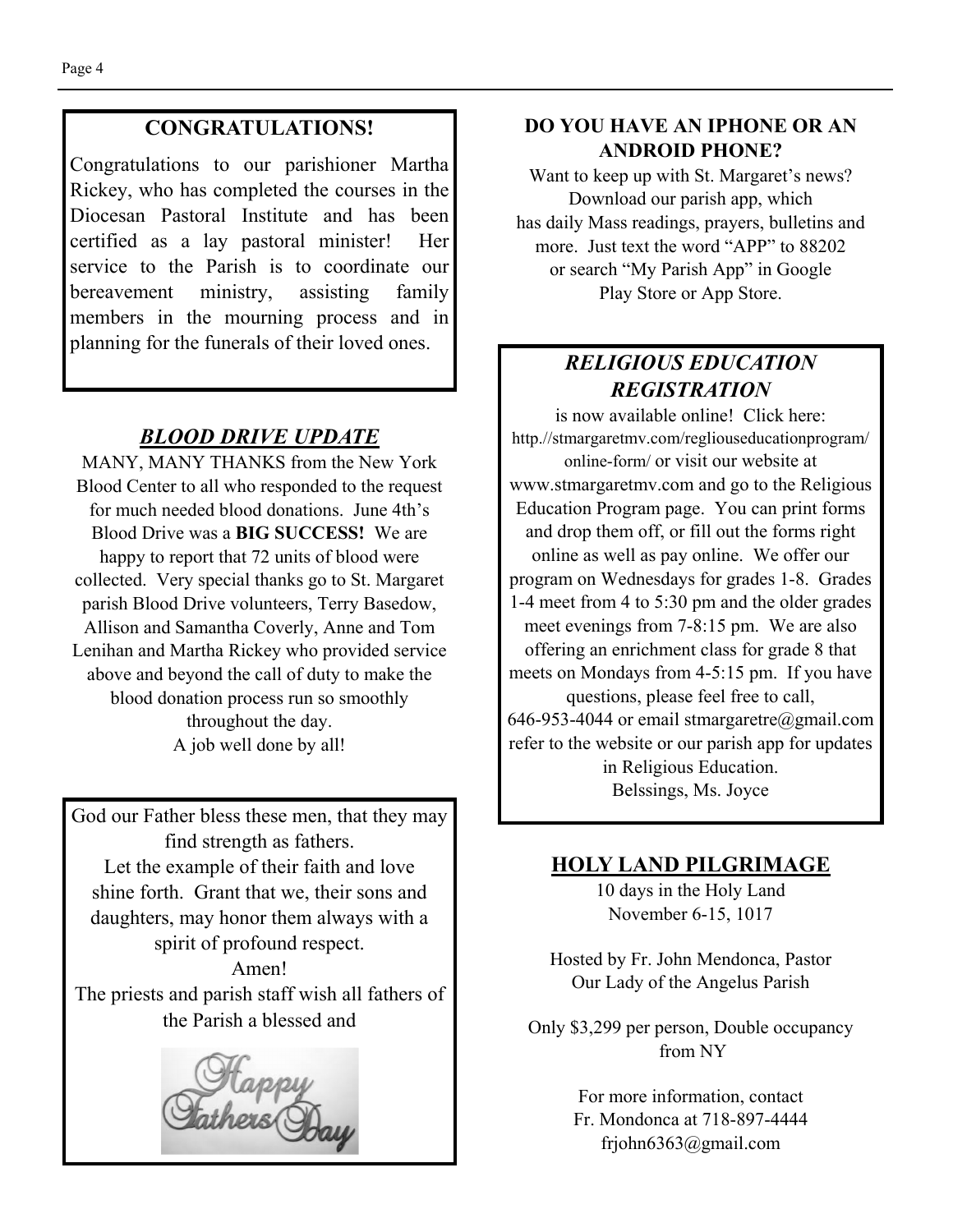#### **CONGRATULATIONS!**

Congratulations to our parishioner Martha Rickey, who has completed the courses in the Diocesan Pastoral Institute and has been certified as a lay pastoral minister! Her service to the Parish is to coordinate our bereavement ministry, assisting family members in the mourning process and in planning for the funerals of their loved ones.

#### *BLOOD DRIVE UPDATE*

MANY, MANY THANKS from the New York Blood Center to all who responded to the request for much needed blood donations. June 4th's Blood Drive was a **BIG SUCCESS!** We are happy to report that 72 units of blood were collected. Very special thanks go to St. Margaret parish Blood Drive volunteers, Terry Basedow, Allison and Samantha Coverly, Anne and Tom Lenihan and Martha Rickey who provided service above and beyond the call of duty to make the blood donation process run so smoothly throughout the day. A job well done by all!

God our Father bless these men, that they may find strength as fathers. Let the example of their faith and love shine forth. Grant that we, their sons and daughters, may honor them always with a spirit of profound respect. Amen! The priests and parish staff wish all fathers of the Parish a blessed and



#### **DO YOU HAVE AN IPHONE OR AN ANDROID PHONE?**

Want to keep up with St. Margaret's news? Download our parish app, which has daily Mass readings, prayers, bulletins and more. Just text the word "APP" to 88202 or search "My Parish App" in Google Play Store or App Store.

# *RELIGIOUS EDUCATION REGISTRATION*

is now available online! Click here: http.//stmargaretmv.com/regliouseducationprogram/ online-form/ or visit our website at www.stmargaretmv.com and go to the Religious Education Program page. You can print forms and drop them off, or fill out the forms right online as well as pay online. We offer our program on Wednesdays for grades 1-8. Grades 1-4 meet from 4 to 5:30 pm and the older grades meet evenings from 7-8:15 pm. We are also offering an enrichment class for grade 8 that meets on Mondays from 4-5:15 pm. If you have questions, please feel free to call, 646-953-4044 or email stmargaretre@gmail.com refer to the website or our parish app for updates in Religious Education. Belssings, Ms. Joyce

#### **HOLY LAND PILGRIMAGE**

10 days in the Holy Land November 6-15, 1017

Hosted by Fr. John Mendonca, Pastor Our Lady of the Angelus Parish

Only \$3,299 per person, Double occupancy from NY

> For more information, contact Fr. Mondonca at 718-897-4444 frjohn6363@gmail.com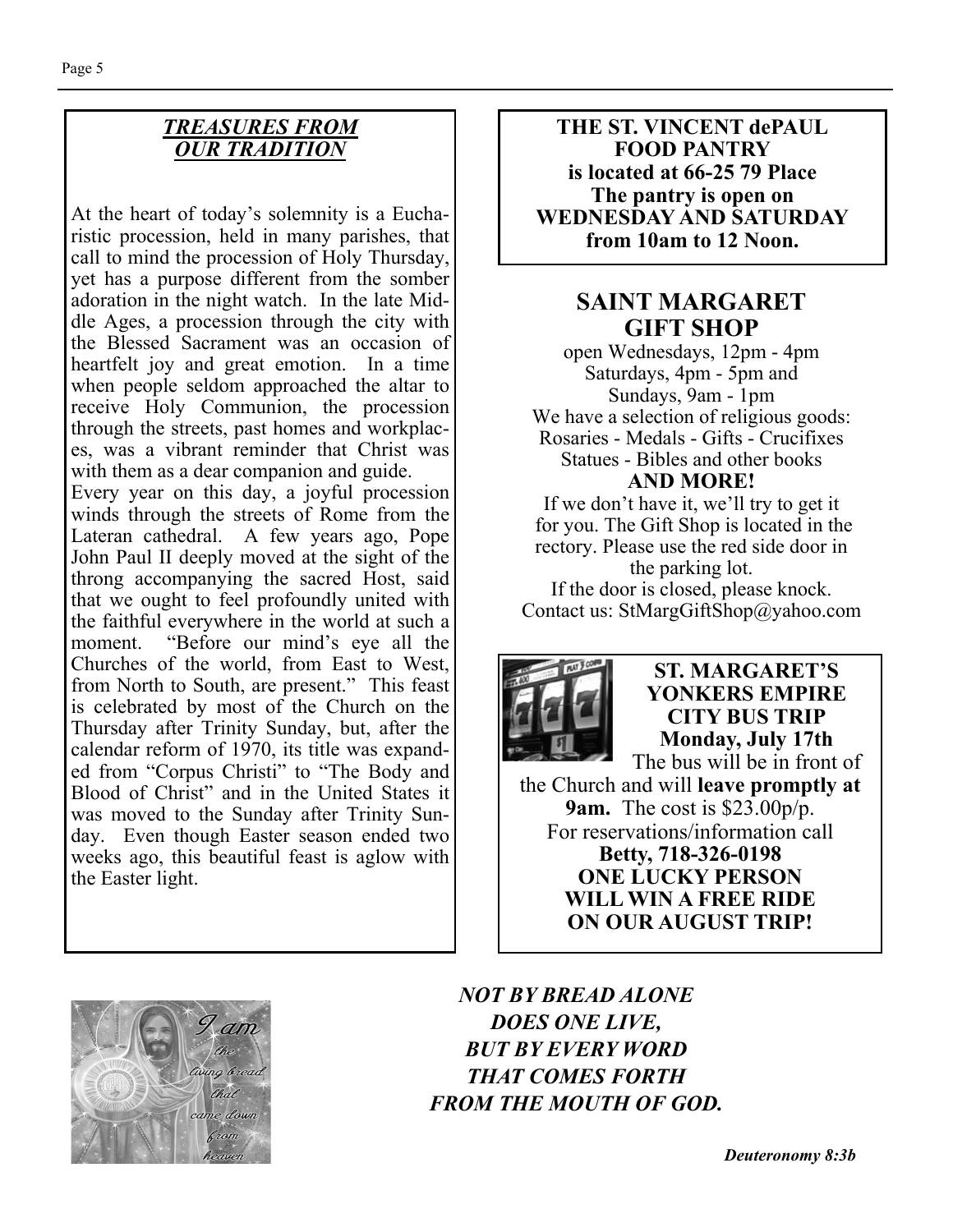#### *TREASURES FROM OUR TRADITION*

At the heart of today's solemnity is a Eucharistic procession, held in many parishes, that call to mind the procession of Holy Thursday, yet has a purpose different from the somber adoration in the night watch. In the late Middle Ages, a procession through the city with the Blessed Sacrament was an occasion of heartfelt joy and great emotion. In a time when people seldom approached the altar to receive Holy Communion, the procession through the streets, past homes and workplaces, was a vibrant reminder that Christ was with them as a dear companion and guide. Every year on this day, a joyful procession winds through the streets of Rome from the Lateran cathedral. A few years ago, Pope John Paul II deeply moved at the sight of the throng accompanying the sacred Host, said that we ought to feel profoundly united with the faithful everywhere in the world at such a moment. "Before our mind's eye all the Churches of the world, from East to West, from North to South, are present." This feast is celebrated by most of the Church on the Thursday after Trinity Sunday, but, after the calendar reform of 1970, its title was expanded from "Corpus Christi" to "The Body and Blood of Christ" and in the United States it was moved to the Sunday after Trinity Sun-

day. Even though Easter season ended two weeks ago, this beautiful feast is aglow with

**THE ST. VINCENT dePAUL FOOD PANTRY is located at 66-25 79 Place The pantry is open on WEDNESDAY AND SATURDAY from 10am to 12 Noon.** 

# **SAINT MARGARET GIFT SHOP**

open Wednesdays, 12pm - 4pm Saturdays, 4pm - 5pm and Sundays, 9am - 1pm We have a selection of religious goods: Rosaries - Medals - Gifts - Crucifixes Statues - Bibles and other books **AND MORE!** 

If we don't have it, we'll try to get it for you. The Gift Shop is located in the rectory. Please use the red side door in the parking lot. If the door is closed, please knock. Contact us: StMargGiftShop@yahoo.com



**ST. MARGARET'S YONKERS EMPIRE CITY BUS TRIP Monday, July 17th**  The bus will be in front of

the Church and will **leave promptly at 9am.** The cost is \$23.00p/p. For reservations/information call **Betty, 718-326-0198 ONE LUCKY PERSON WILL WIN A FREE RIDE ON OUR AUGUST TRIP!** 



the Easter light.

*NOT BY BREAD ALONE DOES ONE LIVE, BUT BY EVERY WORD THAT COMES FORTH FROM THE MOUTH OF GOD.*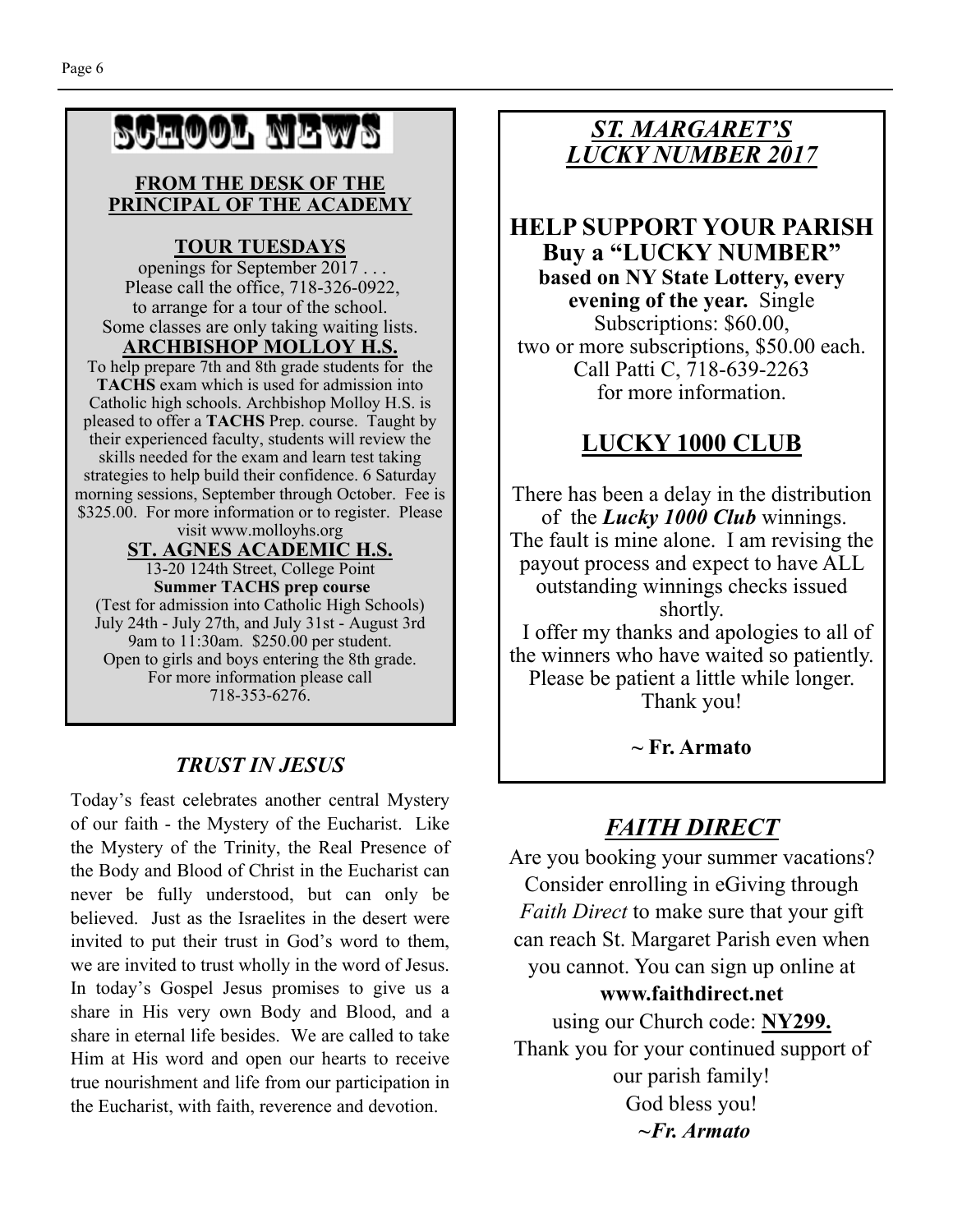# SCHOOL NEWS

#### **FROM THE DESK OF THE PRINCIPAL OF THE ACADEMY**

### **TOUR TUESDAYS**

 openings for September 2017 . . . Please call the office, 718-326-0922, to arrange for a tour of the school. Some classes are only taking waiting lists.

#### **ARCHBISHOP MOLLOY H.S.**

To help prepare 7th and 8th grade students for the **TACHS** exam which is used for admission into Catholic high schools. Archbishop Molloy H.S. is pleased to offer a **TACHS** Prep. course. Taught by their experienced faculty, students will review the skills needed for the exam and learn test taking strategies to help build their confidence. 6 Saturday morning sessions, September through October. Fee is \$325.00. For more information or to register. Please visit www.molloyhs.org

#### **ST. AGNES ACADEMIC H.S.**

13-20 124th Street, College Point **Summer TACHS prep course**  (Test for admission into Catholic High Schools) July 24th - July 27th, and July 31st - August 3rd 9am to 11:30am. \$250.00 per student. Open to girls and boys entering the 8th grade. For more information please call 718-353-6276.

### *TRUST IN JESUS*

Today's feast celebrates another central Mystery of our faith - the Mystery of the Eucharist. Like the Mystery of the Trinity, the Real Presence of the Body and Blood of Christ in the Eucharist can never be fully understood, but can only be believed. Just as the Israelites in the desert were invited to put their trust in God's word to them, we are invited to trust wholly in the word of Jesus. In today's Gospel Jesus promises to give us a share in His very own Body and Blood, and a share in eternal life besides. We are called to take Him at His word and open our hearts to receive true nourishment and life from our participation in the Eucharist, with faith, reverence and devotion.

# *ST. MARGARET'S LUCKY NUMBER 2017*

# **HELP SUPPORT YOUR PARISH Buy a "LUCKY NUMBER" based on NY State Lottery, every**

**evening of the year.** Single Subscriptions: \$60.00, two or more subscriptions, \$50.00 each. Call Patti C, 718-639-2263 for more information.

# **LUCKY 1000 CLUB**

There has been a delay in the distribution of the *Lucky 1000 Club* winnings. The fault is mine alone. I am revising the payout process and expect to have ALL outstanding winnings checks issued shortly.

 I offer my thanks and apologies to all of the winners who have waited so patiently. Please be patient a little while longer. Thank you!

**~ Fr. Armato** 

# *FAITH DIRECT*

Are you booking your summer vacations? Consider enrolling in eGiving through *Faith Direct* to make sure that your gift can reach St. Margaret Parish even when you cannot. You can sign up online at

#### **www.faithdirect.net**

using our Church code: **NY299.**  Thank you for your continued support of our parish family! God bless you!  *~Fr. Armato*